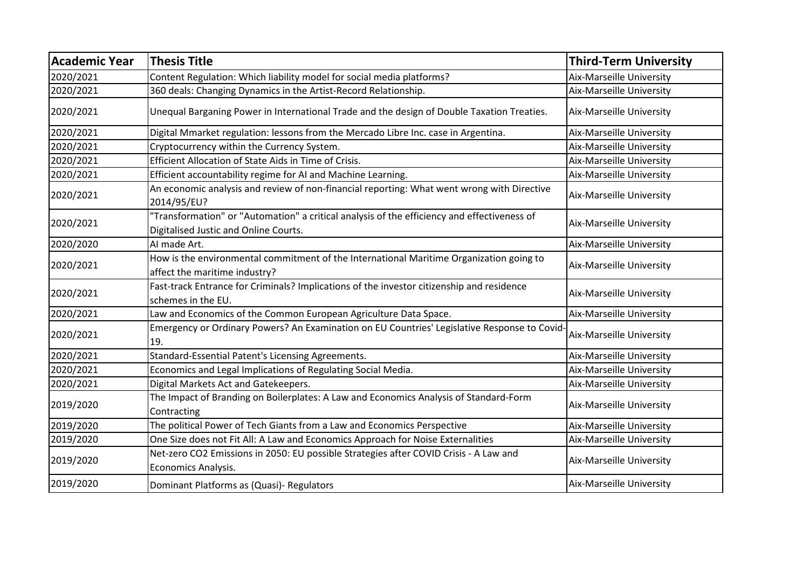| <b>Academic Year</b> | <b>Thesis Title</b>                                                                                                                  | <b>Third-Term University</b> |
|----------------------|--------------------------------------------------------------------------------------------------------------------------------------|------------------------------|
| 2020/2021            | Content Regulation: Which liability model for social media platforms?                                                                | Aix-Marseille University     |
| 2020/2021            | 360 deals: Changing Dynamics in the Artist-Record Relationship.                                                                      | Aix-Marseille University     |
| 2020/2021            | Unequal Barganing Power in International Trade and the design of Double Taxation Treaties.                                           | Aix-Marseille University     |
| 2020/2021            | Digital Mmarket regulation: lessons from the Mercado Libre Inc. case in Argentina.                                                   | Aix-Marseille University     |
| 2020/2021            | Cryptocurrency within the Currency System.                                                                                           | Aix-Marseille University     |
| 2020/2021            | Efficient Allocation of State Aids in Time of Crisis.                                                                                | Aix-Marseille University     |
| 2020/2021            | Efficient accountability regime for AI and Machine Learning.                                                                         | Aix-Marseille University     |
| 2020/2021            | An economic analysis and review of non-financial reporting: What went wrong with Directive<br>2014/95/EU?                            | Aix-Marseille University     |
| 2020/2021            | "Transformation" or "Automation" a critical analysis of the efficiency and effectiveness of<br>Digitalised Justic and Online Courts. | Aix-Marseille University     |
| 2020/2020            | AI made Art.                                                                                                                         | Aix-Marseille University     |
| 2020/2021            | How is the environmental commitment of the International Maritime Organization going to<br>affect the maritime industry?             | Aix-Marseille University     |
| 2020/2021            | Fast-track Entrance for Criminals? Implications of the investor citizenship and residence<br>schemes in the EU.                      | Aix-Marseille University     |
| 2020/2021            | Law and Economics of the Common European Agriculture Data Space.                                                                     | Aix-Marseille University     |
| 2020/2021            | Emergency or Ordinary Powers? An Examination on EU Countries' Legislative Response to Covid-<br>19.                                  | Aix-Marseille University     |
| 2020/2021            | Standard-Essential Patent's Licensing Agreements.                                                                                    | Aix-Marseille University     |
| 2020/2021            | Economics and Legal Implications of Regulating Social Media.                                                                         | Aix-Marseille University     |
| 2020/2021            | Digital Markets Act and Gatekeepers.                                                                                                 | Aix-Marseille University     |
| 2019/2020            | The Impact of Branding on Boilerplates: A Law and Economics Analysis of Standard-Form<br>Contracting                                 | Aix-Marseille University     |
| 2019/2020            | The political Power of Tech Giants from a Law and Economics Perspective                                                              | Aix-Marseille University     |
| 2019/2020            | One Size does not Fit All: A Law and Economics Approach for Noise Externalities                                                      | Aix-Marseille University     |
| 2019/2020            | Net-zero CO2 Emissions in 2050: EU possible Strategies after COVID Crisis - A Law and<br>Economics Analysis.                         | Aix-Marseille University     |
| 2019/2020            | Dominant Platforms as (Quasi)- Regulators                                                                                            | Aix-Marseille University     |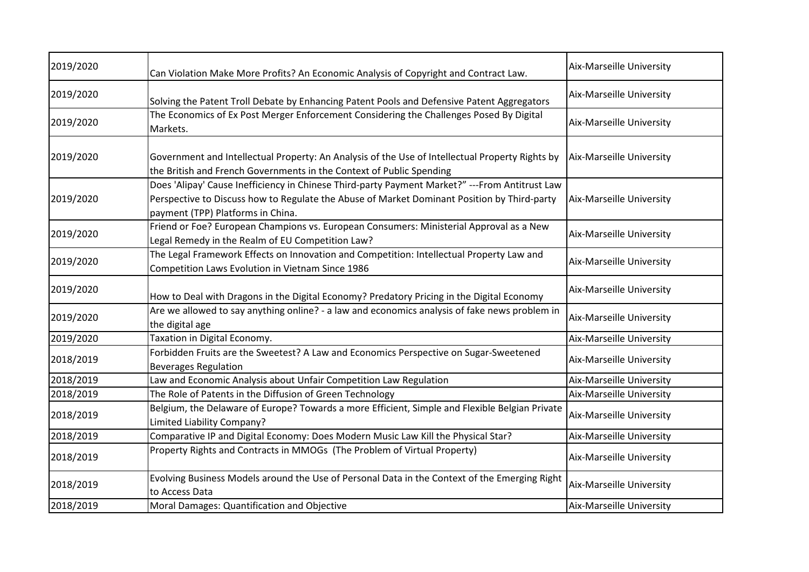| 2019/2020 | Can Violation Make More Profits? An Economic Analysis of Copyright and Contract Law.                                                                                                                                                | Aix-Marseille University        |
|-----------|-------------------------------------------------------------------------------------------------------------------------------------------------------------------------------------------------------------------------------------|---------------------------------|
| 2019/2020 | Solving the Patent Troll Debate by Enhancing Patent Pools and Defensive Patent Aggregators                                                                                                                                          | Aix-Marseille University        |
| 2019/2020 | The Economics of Ex Post Merger Enforcement Considering the Challenges Posed By Digital<br>Markets.                                                                                                                                 | Aix-Marseille University        |
| 2019/2020 | Government and Intellectual Property: An Analysis of the Use of Intellectual Property Rights by<br>the British and French Governments in the Context of Public Spending                                                             | Aix-Marseille University        |
| 2019/2020 | Does 'Alipay' Cause Inefficiency in Chinese Third-party Payment Market?" --- From Antitrust Law<br>Perspective to Discuss how to Regulate the Abuse of Market Dominant Position by Third-party<br>payment (TPP) Platforms in China. | Aix-Marseille University        |
| 2019/2020 | Friend or Foe? European Champions vs. European Consumers: Ministerial Approval as a New<br>Legal Remedy in the Realm of EU Competition Law?                                                                                         | Aix-Marseille University        |
| 2019/2020 | The Legal Framework Effects on Innovation and Competition: Intellectual Property Law and<br>Competition Laws Evolution in Vietnam Since 1986                                                                                        | Aix-Marseille University        |
| 2019/2020 | How to Deal with Dragons in the Digital Economy? Predatory Pricing in the Digital Economy                                                                                                                                           | Aix-Marseille University        |
| 2019/2020 | Are we allowed to say anything online? - a law and economics analysis of fake news problem in<br>the digital age                                                                                                                    | Aix-Marseille University        |
| 2019/2020 | Taxation in Digital Economy.                                                                                                                                                                                                        | Aix-Marseille University        |
| 2018/2019 | Forbidden Fruits are the Sweetest? A Law and Economics Perspective on Sugar-Sweetened<br><b>Beverages Regulation</b>                                                                                                                | Aix-Marseille University        |
| 2018/2019 | Law and Economic Analysis about Unfair Competition Law Regulation                                                                                                                                                                   | Aix-Marseille University        |
| 2018/2019 | The Role of Patents in the Diffusion of Green Technology                                                                                                                                                                            | Aix-Marseille University        |
| 2018/2019 | Belgium, the Delaware of Europe? Towards a more Efficient, Simple and Flexible Belgian Private<br>Limited Liability Company?                                                                                                        | Aix-Marseille University        |
| 2018/2019 | Comparative IP and Digital Economy: Does Modern Music Law Kill the Physical Star?                                                                                                                                                   | Aix-Marseille University        |
| 2018/2019 | Property Rights and Contracts in MMOGs (The Problem of Virtual Property)                                                                                                                                                            | Aix-Marseille University        |
| 2018/2019 | Evolving Business Models around the Use of Personal Data in the Context of the Emerging Right<br>to Access Data                                                                                                                     | Aix-Marseille University        |
| 2018/2019 | Moral Damages: Quantification and Objective                                                                                                                                                                                         | <b>Aix-Marseille University</b> |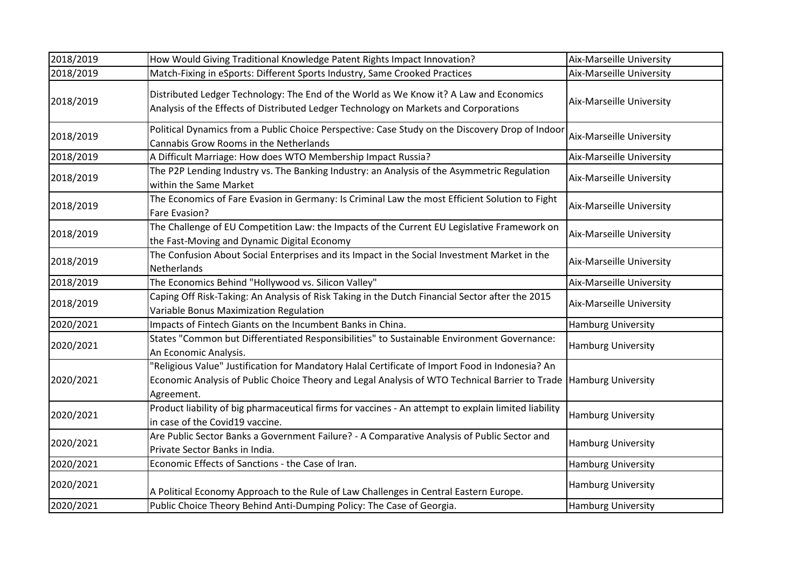| 2018/2019 | How Would Giving Traditional Knowledge Patent Rights Impact Innovation?                                                                                                                                         | Aix-Marseille University  |
|-----------|-----------------------------------------------------------------------------------------------------------------------------------------------------------------------------------------------------------------|---------------------------|
| 2018/2019 | Match-Fixing in eSports: Different Sports Industry, Same Crooked Practices                                                                                                                                      | Aix-Marseille University  |
| 2018/2019 | Distributed Ledger Technology: The End of the World as We Know it? A Law and Economics<br>Analysis of the Effects of Distributed Ledger Technology on Markets and Corporations                                  | Aix-Marseille University  |
| 2018/2019 | Political Dynamics from a Public Choice Perspective: Case Study on the Discovery Drop of Indoor<br>Cannabis Grow Rooms in the Netherlands                                                                       | Aix-Marseille University  |
| 2018/2019 | A Difficult Marriage: How does WTO Membership Impact Russia?                                                                                                                                                    | Aix-Marseille University  |
| 2018/2019 | The P2P Lending Industry vs. The Banking Industry: an Analysis of the Asymmetric Regulation<br>within the Same Market                                                                                           | Aix-Marseille University  |
| 2018/2019 | The Economics of Fare Evasion in Germany: Is Criminal Law the most Efficient Solution to Fight<br>Fare Evasion?                                                                                                 | Aix-Marseille University  |
| 2018/2019 | The Challenge of EU Competition Law: the Impacts of the Current EU Legislative Framework on<br>the Fast-Moving and Dynamic Digital Economy                                                                      | Aix-Marseille University  |
| 2018/2019 | The Confusion About Social Enterprises and its Impact in the Social Investment Market in the<br>Netherlands                                                                                                     | Aix-Marseille University  |
| 2018/2019 | The Economics Behind "Hollywood vs. Silicon Valley"                                                                                                                                                             | Aix-Marseille University  |
| 2018/2019 | Caping Off Risk-Taking: An Analysis of Risk Taking in the Dutch Financial Sector after the 2015<br>Variable Bonus Maximization Regulation                                                                       | Aix-Marseille University  |
| 2020/2021 | Impacts of Fintech Giants on the Incumbent Banks in China.                                                                                                                                                      | <b>Hamburg University</b> |
| 2020/2021 | States "Common but Differentiated Responsibilities" to Sustainable Environment Governance:<br>An Economic Analysis.                                                                                             | <b>Hamburg University</b> |
| 2020/2021 | "Religious Value" Justification for Mandatory Halal Certificate of Import Food in Indonesia? An<br>Economic Analysis of Public Choice Theory and Legal Analysis of WTO Technical Barrier to Trade<br>Agreement. | <b>Hamburg University</b> |
| 2020/2021 | Product liability of big pharmaceutical firms for vaccines - An attempt to explain limited liability<br>in case of the Covid19 vaccine.                                                                         | <b>Hamburg University</b> |
| 2020/2021 | Are Public Sector Banks a Government Failure? - A Comparative Analysis of Public Sector and<br>Private Sector Banks in India.                                                                                   | <b>Hamburg University</b> |
| 2020/2021 | Economic Effects of Sanctions - the Case of Iran.                                                                                                                                                               | <b>Hamburg University</b> |
| 2020/2021 | A Political Economy Approach to the Rule of Law Challenges in Central Eastern Europe.                                                                                                                           | <b>Hamburg University</b> |
| 2020/2021 | Public Choice Theory Behind Anti-Dumping Policy: The Case of Georgia.                                                                                                                                           | <b>Hamburg University</b> |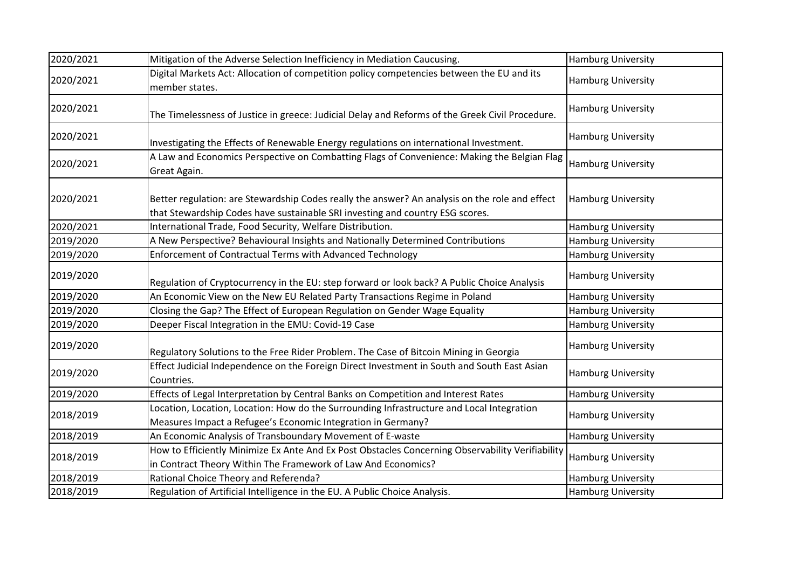| 2020/2021 | Mitigation of the Adverse Selection Inefficiency in Mediation Caucusing.                                                                                                        | <b>Hamburg University</b> |
|-----------|---------------------------------------------------------------------------------------------------------------------------------------------------------------------------------|---------------------------|
| 2020/2021 | Digital Markets Act: Allocation of competition policy competencies between the EU and its<br>member states.                                                                     | <b>Hamburg University</b> |
| 2020/2021 | The Timelessness of Justice in greece: Judicial Delay and Reforms of the Greek Civil Procedure.                                                                                 | <b>Hamburg University</b> |
| 2020/2021 | Investigating the Effects of Renewable Energy regulations on international Investment.                                                                                          | <b>Hamburg University</b> |
| 2020/2021 | A Law and Economics Perspective on Combatting Flags of Convenience: Making the Belgian Flag<br>Great Again.                                                                     | <b>Hamburg University</b> |
| 2020/2021 | Better regulation: are Stewardship Codes really the answer? An analysis on the role and effect<br>that Stewardship Codes have sustainable SRI investing and country ESG scores. | Hamburg University        |
| 2020/2021 | International Trade, Food Security, Welfare Distribution.                                                                                                                       | <b>Hamburg University</b> |
| 2019/2020 | A New Perspective? Behavioural Insights and Nationally Determined Contributions                                                                                                 | <b>Hamburg University</b> |
| 2019/2020 | Enforcement of Contractual Terms with Advanced Technology                                                                                                                       | Hamburg University        |
| 2019/2020 | Regulation of Cryptocurrency in the EU: step forward or look back? A Public Choice Analysis                                                                                     | <b>Hamburg University</b> |
| 2019/2020 | An Economic View on the New EU Related Party Transactions Regime in Poland                                                                                                      | <b>Hamburg University</b> |
| 2019/2020 | Closing the Gap? The Effect of European Regulation on Gender Wage Equality                                                                                                      | <b>Hamburg University</b> |
| 2019/2020 | Deeper Fiscal Integration in the EMU: Covid-19 Case                                                                                                                             | <b>Hamburg University</b> |
| 2019/2020 | Regulatory Solutions to the Free Rider Problem. The Case of Bitcoin Mining in Georgia                                                                                           | <b>Hamburg University</b> |
| 2019/2020 | Effect Judicial Independence on the Foreign Direct Investment in South and South East Asian<br>Countries.                                                                       | <b>Hamburg University</b> |
| 2019/2020 | Effects of Legal Interpretation by Central Banks on Competition and Interest Rates                                                                                              | <b>Hamburg University</b> |
| 2018/2019 | Location, Location, Location: How do the Surrounding Infrastructure and Local Integration<br>Measures Impact a Refugee's Economic Integration in Germany?                       | Hamburg University        |
| 2018/2019 | An Economic Analysis of Transboundary Movement of E-waste                                                                                                                       | Hamburg University        |
| 2018/2019 | How to Efficiently Minimize Ex Ante And Ex Post Obstacles Concerning Observability Verifiability<br>in Contract Theory Within The Framework of Law And Economics?               | <b>Hamburg University</b> |
| 2018/2019 | Rational Choice Theory and Referenda?                                                                                                                                           | <b>Hamburg University</b> |
| 2018/2019 | Regulation of Artificial Intelligence in the EU. A Public Choice Analysis.                                                                                                      | <b>Hamburg University</b> |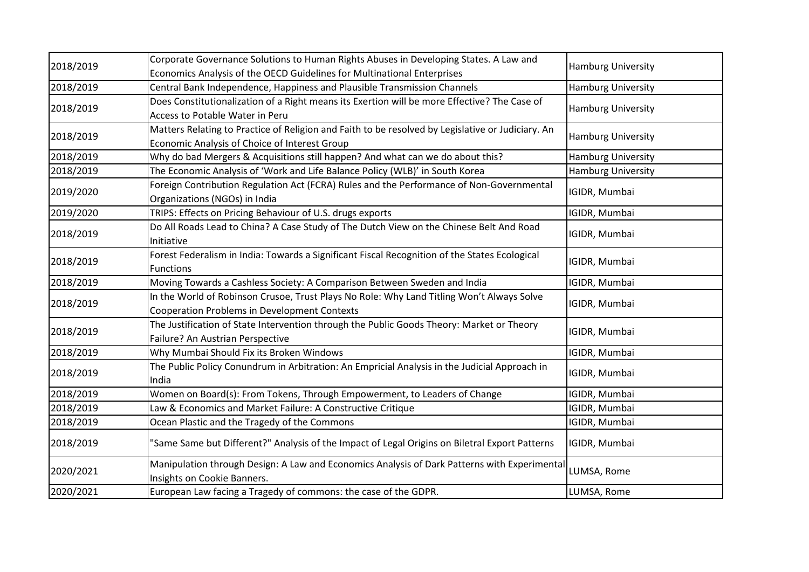| 2018/2019 | Corporate Governance Solutions to Human Rights Abuses in Developing States. A Law and                                                              | <b>Hamburg University</b> |
|-----------|----------------------------------------------------------------------------------------------------------------------------------------------------|---------------------------|
|           | Economics Analysis of the OECD Guidelines for Multinational Enterprises                                                                            |                           |
| 2018/2019 | Central Bank Independence, Happiness and Plausible Transmission Channels                                                                           | <b>Hamburg University</b> |
| 2018/2019 | Does Constitutionalization of a Right means its Exertion will be more Effective? The Case of                                                       | <b>Hamburg University</b> |
|           | Access to Potable Water in Peru                                                                                                                    |                           |
| 2018/2019 | Matters Relating to Practice of Religion and Faith to be resolved by Legislative or Judiciary. An<br>Economic Analysis of Choice of Interest Group | <b>Hamburg University</b> |
| 2018/2019 | Why do bad Mergers & Acquisitions still happen? And what can we do about this?                                                                     | <b>Hamburg University</b> |
| 2018/2019 | The Economic Analysis of 'Work and Life Balance Policy (WLB)' in South Korea                                                                       | <b>Hamburg University</b> |
| 2019/2020 | Foreign Contribution Regulation Act (FCRA) Rules and the Performance of Non-Governmental<br>Organizations (NGOs) in India                          | IGIDR, Mumbai             |
| 2019/2020 | TRIPS: Effects on Pricing Behaviour of U.S. drugs exports                                                                                          | IGIDR, Mumbai             |
| 2018/2019 | Do All Roads Lead to China? A Case Study of The Dutch View on the Chinese Belt And Road<br>Initiative                                              | IGIDR, Mumbai             |
| 2018/2019 | Forest Federalism in India: Towards a Significant Fiscal Recognition of the States Ecological<br><b>Functions</b>                                  | IGIDR, Mumbai             |
| 2018/2019 | Moving Towards a Cashless Society: A Comparison Between Sweden and India                                                                           | IGIDR, Mumbai             |
| 2018/2019 | In the World of Robinson Crusoe, Trust Plays No Role: Why Land Titling Won't Always Solve<br>Cooperation Problems in Development Contexts          | IGIDR, Mumbai             |
| 2018/2019 | The Justification of State Intervention through the Public Goods Theory: Market or Theory<br>Failure? An Austrian Perspective                      | IGIDR, Mumbai             |
| 2018/2019 | Why Mumbai Should Fix its Broken Windows                                                                                                           | IGIDR, Mumbai             |
| 2018/2019 | The Public Policy Conundrum in Arbitration: An Empricial Analysis in the Judicial Approach in<br>India                                             | IGIDR, Mumbai             |
| 2018/2019 | Women on Board(s): From Tokens, Through Empowerment, to Leaders of Change                                                                          | IGIDR, Mumbai             |
| 2018/2019 | Law & Economics and Market Failure: A Constructive Critique                                                                                        | IGIDR, Mumbai             |
| 2018/2019 | Ocean Plastic and the Tragedy of the Commons                                                                                                       | IGIDR, Mumbai             |
| 2018/2019 | "Same Same but Different?" Analysis of the Impact of Legal Origins on Biletral Export Patterns                                                     | IGIDR, Mumbai             |
| 2020/2021 | Manipulation through Design: A Law and Economics Analysis of Dark Patterns with Experimental<br>Insights on Cookie Banners.                        | LUMSA, Rome               |
| 2020/2021 | European Law facing a Tragedy of commons: the case of the GDPR.                                                                                    | LUMSA, Rome               |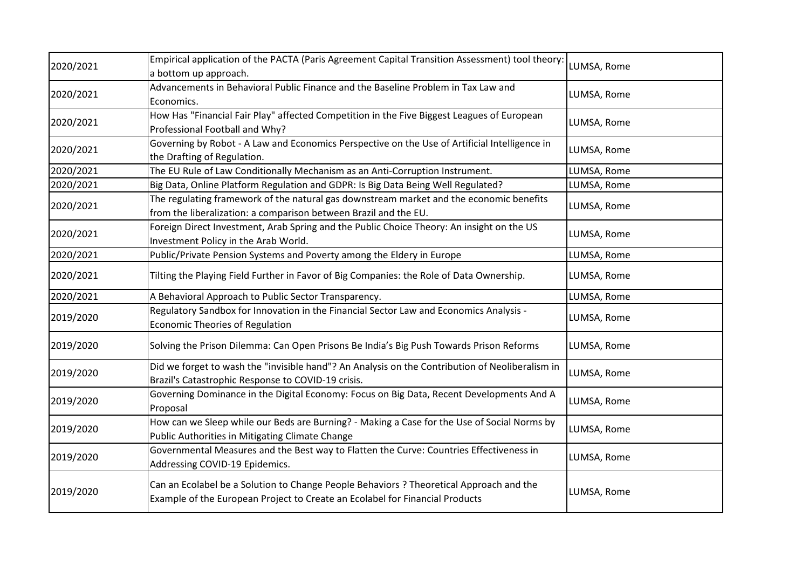| 2020/2021 | Empirical application of the PACTA (Paris Agreement Capital Transition Assessment) tool theory:<br>a bottom up approach.                                                | LUMSA, Rome |
|-----------|-------------------------------------------------------------------------------------------------------------------------------------------------------------------------|-------------|
| 2020/2021 | Advancements in Behavioral Public Finance and the Baseline Problem in Tax Law and<br>Economics.                                                                         | LUMSA, Rome |
| 2020/2021 | How Has "Financial Fair Play" affected Competition in the Five Biggest Leagues of European<br>Professional Football and Why?                                            | LUMSA, Rome |
| 2020/2021 | Governing by Robot - A Law and Economics Perspective on the Use of Artificial Intelligence in<br>the Drafting of Regulation.                                            | LUMSA, Rome |
| 2020/2021 | The EU Rule of Law Conditionally Mechanism as an Anti-Corruption Instrument.                                                                                            | LUMSA, Rome |
| 2020/2021 | Big Data, Online Platform Regulation and GDPR: Is Big Data Being Well Regulated?                                                                                        | LUMSA, Rome |
| 2020/2021 | The regulating framework of the natural gas downstream market and the economic benefits<br>from the liberalization: a comparison between Brazil and the EU.             | LUMSA, Rome |
| 2020/2021 | Foreign Direct Investment, Arab Spring and the Public Choice Theory: An insight on the US<br>Investment Policy in the Arab World.                                       | LUMSA, Rome |
| 2020/2021 | Public/Private Pension Systems and Poverty among the Eldery in Europe                                                                                                   | LUMSA, Rome |
| 2020/2021 | Tilting the Playing Field Further in Favor of Big Companies: the Role of Data Ownership.                                                                                | LUMSA, Rome |
| 2020/2021 | A Behavioral Approach to Public Sector Transparency.                                                                                                                    | LUMSA, Rome |
| 2019/2020 | Regulatory Sandbox for Innovation in the Financial Sector Law and Economics Analysis -<br><b>Economic Theories of Regulation</b>                                        | LUMSA, Rome |
| 2019/2020 | Solving the Prison Dilemma: Can Open Prisons Be India's Big Push Towards Prison Reforms                                                                                 | LUMSA, Rome |
| 2019/2020 | Did we forget to wash the "invisible hand"? An Analysis on the Contribution of Neoliberalism in<br>Brazil's Catastrophic Response to COVID-19 crisis.                   | LUMSA, Rome |
| 2019/2020 | Governing Dominance in the Digital Economy: Focus on Big Data, Recent Developments And A<br>Proposal                                                                    | LUMSA, Rome |
| 2019/2020 | How can we Sleep while our Beds are Burning? - Making a Case for the Use of Social Norms by<br>Public Authorities in Mitigating Climate Change                          | LUMSA, Rome |
| 2019/2020 | Governmental Measures and the Best way to Flatten the Curve: Countries Effectiveness in<br>Addressing COVID-19 Epidemics.                                               | LUMSA, Rome |
| 2019/2020 | Can an Ecolabel be a Solution to Change People Behaviors ? Theoretical Approach and the<br>Example of the European Project to Create an Ecolabel for Financial Products | LUMSA, Rome |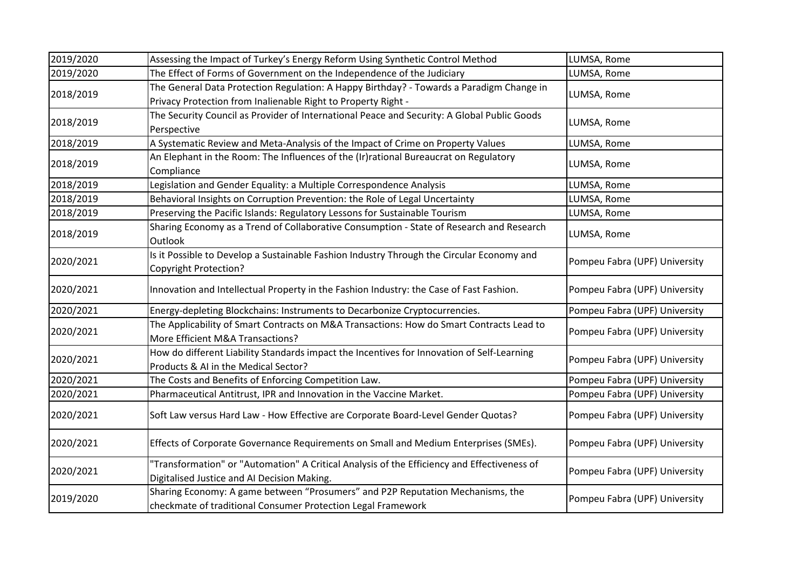| 2019/2020 | Assessing the Impact of Turkey's Energy Reform Using Synthetic Control Method                                                                             | LUMSA, Rome                   |
|-----------|-----------------------------------------------------------------------------------------------------------------------------------------------------------|-------------------------------|
| 2019/2020 | The Effect of Forms of Government on the Independence of the Judiciary                                                                                    | LUMSA, Rome                   |
| 2018/2019 | The General Data Protection Regulation: A Happy Birthday? - Towards a Paradigm Change in<br>Privacy Protection from Inalienable Right to Property Right - | LUMSA, Rome                   |
| 2018/2019 | The Security Council as Provider of International Peace and Security: A Global Public Goods<br>Perspective                                                | LUMSA, Rome                   |
| 2018/2019 | A Systematic Review and Meta-Analysis of the Impact of Crime on Property Values                                                                           | LUMSA, Rome                   |
| 2018/2019 | An Elephant in the Room: The Influences of the (Ir)rational Bureaucrat on Regulatory<br>Compliance                                                        | LUMSA, Rome                   |
| 2018/2019 | Legislation and Gender Equality: a Multiple Correspondence Analysis                                                                                       | LUMSA, Rome                   |
| 2018/2019 | Behavioral Insights on Corruption Prevention: the Role of Legal Uncertainty                                                                               | LUMSA, Rome                   |
| 2018/2019 | Preserving the Pacific Islands: Regulatory Lessons for Sustainable Tourism                                                                                | LUMSA, Rome                   |
| 2018/2019 | Sharing Economy as a Trend of Collaborative Consumption - State of Research and Research<br>Outlook                                                       | LUMSA, Rome                   |
| 2020/2021 | Is it Possible to Develop a Sustainable Fashion Industry Through the Circular Economy and<br><b>Copyright Protection?</b>                                 | Pompeu Fabra (UPF) University |
| 2020/2021 | Innovation and Intellectual Property in the Fashion Industry: the Case of Fast Fashion.                                                                   | Pompeu Fabra (UPF) University |
| 2020/2021 | Energy-depleting Blockchains: Instruments to Decarbonize Cryptocurrencies.                                                                                | Pompeu Fabra (UPF) University |
| 2020/2021 | The Applicability of Smart Contracts on M&A Transactions: How do Smart Contracts Lead to<br>More Efficient M&A Transactions?                              | Pompeu Fabra (UPF) University |
| 2020/2021 | How do different Liability Standards impact the Incentives for Innovation of Self-Learning<br>Products & AI in the Medical Sector?                        | Pompeu Fabra (UPF) University |
| 2020/2021 | The Costs and Benefits of Enforcing Competition Law.                                                                                                      | Pompeu Fabra (UPF) University |
| 2020/2021 | Pharmaceutical Antitrust, IPR and Innovation in the Vaccine Market.                                                                                       | Pompeu Fabra (UPF) University |
| 2020/2021 | Soft Law versus Hard Law - How Effective are Corporate Board-Level Gender Quotas?                                                                         | Pompeu Fabra (UPF) University |
| 2020/2021 | Effects of Corporate Governance Requirements on Small and Medium Enterprises (SMEs).                                                                      | Pompeu Fabra (UPF) University |
| 2020/2021 | "Transformation" or "Automation" A Critical Analysis of the Efficiency and Effectiveness of<br>Digitalised Justice and AI Decision Making.                | Pompeu Fabra (UPF) University |
| 2019/2020 | Sharing Economy: A game between "Prosumers" and P2P Reputation Mechanisms, the<br>checkmate of traditional Consumer Protection Legal Framework            | Pompeu Fabra (UPF) University |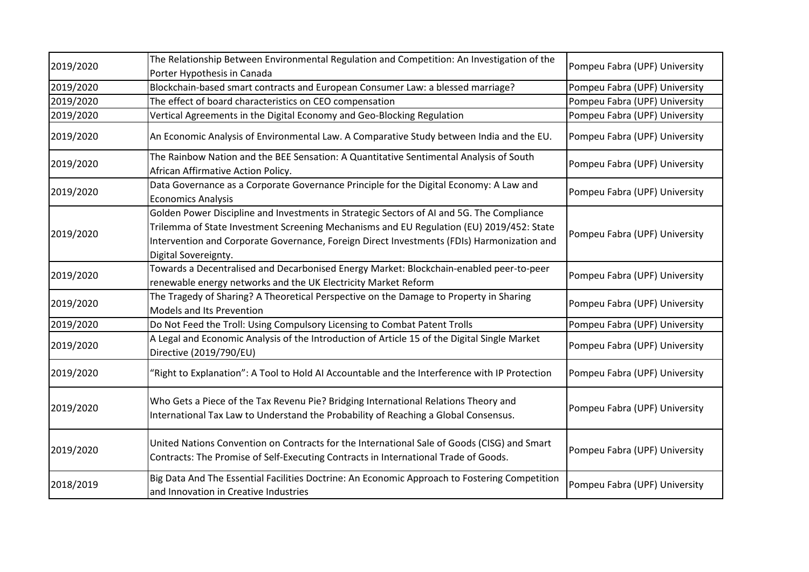| 2019/2020 | The Relationship Between Environmental Regulation and Competition: An Investigation of the<br>Porter Hypothesis in Canada                                                                                                                                                                                   | Pompeu Fabra (UPF) University |
|-----------|-------------------------------------------------------------------------------------------------------------------------------------------------------------------------------------------------------------------------------------------------------------------------------------------------------------|-------------------------------|
| 2019/2020 | Blockchain-based smart contracts and European Consumer Law: a blessed marriage?                                                                                                                                                                                                                             | Pompeu Fabra (UPF) University |
| 2019/2020 | The effect of board characteristics on CEO compensation                                                                                                                                                                                                                                                     | Pompeu Fabra (UPF) University |
| 2019/2020 | Vertical Agreements in the Digital Economy and Geo-Blocking Regulation                                                                                                                                                                                                                                      | Pompeu Fabra (UPF) University |
| 2019/2020 | An Economic Analysis of Environmental Law. A Comparative Study between India and the EU.                                                                                                                                                                                                                    | Pompeu Fabra (UPF) University |
| 2019/2020 | The Rainbow Nation and the BEE Sensation: A Quantitative Sentimental Analysis of South<br>African Affirmative Action Policy.                                                                                                                                                                                | Pompeu Fabra (UPF) University |
| 2019/2020 | Data Governance as a Corporate Governance Principle for the Digital Economy: A Law and<br><b>Economics Analysis</b>                                                                                                                                                                                         | Pompeu Fabra (UPF) University |
| 2019/2020 | Golden Power Discipline and Investments in Strategic Sectors of AI and 5G. The Compliance<br>Trilemma of State Investment Screening Mechanisms and EU Regulation (EU) 2019/452: State<br>Intervention and Corporate Governance, Foreign Direct Investments (FDIs) Harmonization and<br>Digital Sovereignty. | Pompeu Fabra (UPF) University |
| 2019/2020 | Towards a Decentralised and Decarbonised Energy Market: Blockchain-enabled peer-to-peer<br>renewable energy networks and the UK Electricity Market Reform                                                                                                                                                   | Pompeu Fabra (UPF) University |
| 2019/2020 | The Tragedy of Sharing? A Theoretical Perspective on the Damage to Property in Sharing<br>Models and Its Prevention                                                                                                                                                                                         | Pompeu Fabra (UPF) University |
| 2019/2020 | Do Not Feed the Troll: Using Compulsory Licensing to Combat Patent Trolls                                                                                                                                                                                                                                   | Pompeu Fabra (UPF) University |
| 2019/2020 | A Legal and Economic Analysis of the Introduction of Article 15 of the Digital Single Market<br>Directive (2019/790/EU)                                                                                                                                                                                     | Pompeu Fabra (UPF) University |
| 2019/2020 | "Right to Explanation": A Tool to Hold AI Accountable and the Interference with IP Protection                                                                                                                                                                                                               | Pompeu Fabra (UPF) University |
| 2019/2020 | Who Gets a Piece of the Tax Revenu Pie? Bridging International Relations Theory and<br>International Tax Law to Understand the Probability of Reaching a Global Consensus.                                                                                                                                  | Pompeu Fabra (UPF) University |
| 2019/2020 | United Nations Convention on Contracts for the International Sale of Goods (CISG) and Smart<br>Contracts: The Promise of Self-Executing Contracts in International Trade of Goods.                                                                                                                          | Pompeu Fabra (UPF) University |
| 2018/2019 | Big Data And The Essential Facilities Doctrine: An Economic Approach to Fostering Competition<br>and Innovation in Creative Industries                                                                                                                                                                      | Pompeu Fabra (UPF) University |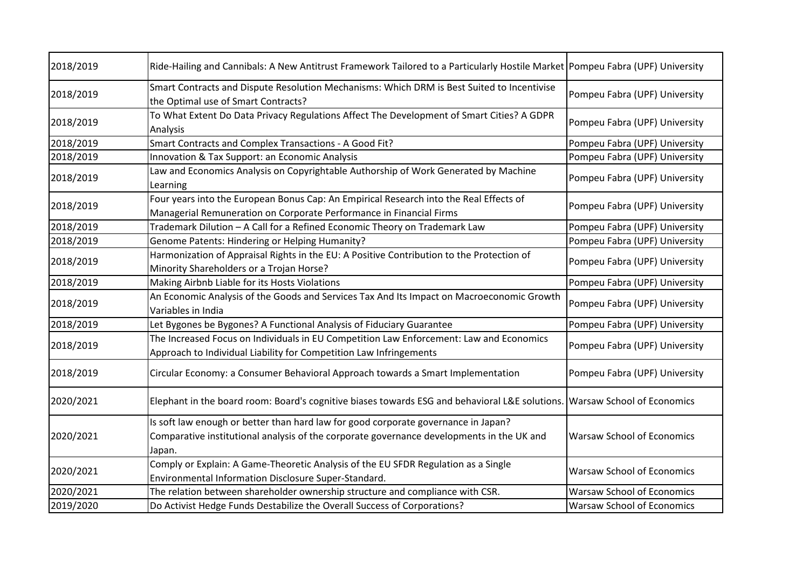| 2018/2019 | Ride-Hailing and Cannibals: A New Antitrust Framework Tailored to a Particularly Hostile Market Pompeu Fabra (UPF) University                                                             |                                   |
|-----------|-------------------------------------------------------------------------------------------------------------------------------------------------------------------------------------------|-----------------------------------|
| 2018/2019 | Smart Contracts and Dispute Resolution Mechanisms: Which DRM is Best Suited to Incentivise<br>the Optimal use of Smart Contracts?                                                         | Pompeu Fabra (UPF) University     |
| 2018/2019 | To What Extent Do Data Privacy Regulations Affect The Development of Smart Cities? A GDPR<br>Analysis                                                                                     | Pompeu Fabra (UPF) University     |
| 2018/2019 | Smart Contracts and Complex Transactions - A Good Fit?                                                                                                                                    | Pompeu Fabra (UPF) University     |
| 2018/2019 | Innovation & Tax Support: an Economic Analysis                                                                                                                                            | Pompeu Fabra (UPF) University     |
| 2018/2019 | Law and Economics Analysis on Copyrightable Authorship of Work Generated by Machine<br>Learning                                                                                           | Pompeu Fabra (UPF) University     |
| 2018/2019 | Four years into the European Bonus Cap: An Empirical Research into the Real Effects of<br>Managerial Remuneration on Corporate Performance in Financial Firms                             | Pompeu Fabra (UPF) University     |
| 2018/2019 | Trademark Dilution - A Call for a Refined Economic Theory on Trademark Law                                                                                                                | Pompeu Fabra (UPF) University     |
| 2018/2019 | Genome Patents: Hindering or Helping Humanity?                                                                                                                                            | Pompeu Fabra (UPF) University     |
| 2018/2019 | Harmonization of Appraisal Rights in the EU: A Positive Contribution to the Protection of<br>Minority Shareholders or a Trojan Horse?                                                     | Pompeu Fabra (UPF) University     |
| 2018/2019 | Making Airbnb Liable for its Hosts Violations                                                                                                                                             | Pompeu Fabra (UPF) University     |
| 2018/2019 | An Economic Analysis of the Goods and Services Tax And Its Impact on Macroeconomic Growth<br>Variables in India                                                                           | Pompeu Fabra (UPF) University     |
| 2018/2019 | Let Bygones be Bygones? A Functional Analysis of Fiduciary Guarantee                                                                                                                      | Pompeu Fabra (UPF) University     |
| 2018/2019 | The Increased Focus on Individuals in EU Competition Law Enforcement: Law and Economics<br>Approach to Individual Liability for Competition Law Infringements                             | Pompeu Fabra (UPF) University     |
| 2018/2019 | Circular Economy: a Consumer Behavioral Approach towards a Smart Implementation                                                                                                           | Pompeu Fabra (UPF) University     |
| 2020/2021 | Elephant in the board room: Board's cognitive biases towards ESG and behavioral L&E solutions. Warsaw School of Economics                                                                 |                                   |
| 2020/2021 | Is soft law enough or better than hard law for good corporate governance in Japan?<br>Comparative institutional analysis of the corporate governance developments in the UK and<br>Japan. | <b>Warsaw School of Economics</b> |
| 2020/2021 | Comply or Explain: A Game-Theoretic Analysis of the EU SFDR Regulation as a Single<br>Environmental Information Disclosure Super-Standard.                                                | <b>Warsaw School of Economics</b> |
| 2020/2021 | The relation between shareholder ownership structure and compliance with CSR.                                                                                                             | <b>Warsaw School of Economics</b> |
| 2019/2020 | Do Activist Hedge Funds Destabilize the Overall Success of Corporations?                                                                                                                  | <b>Warsaw School of Economics</b> |